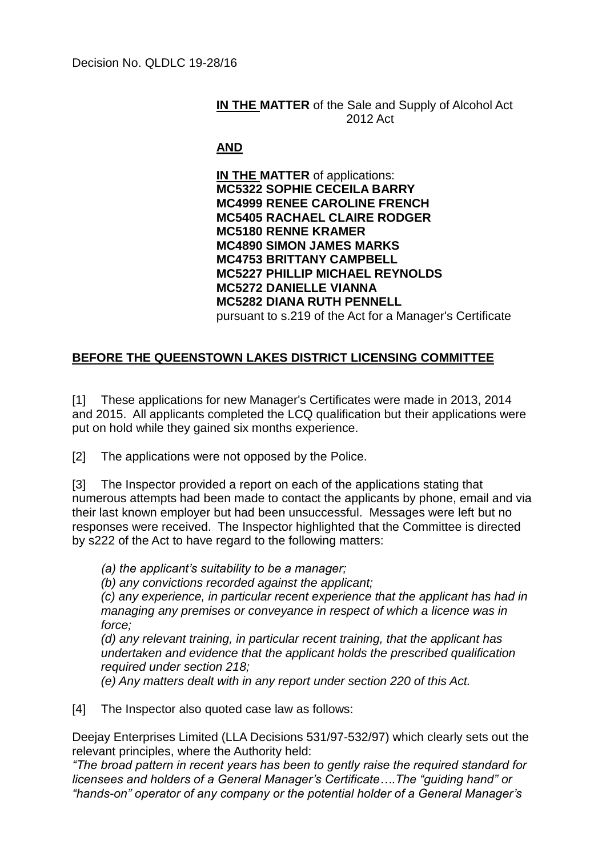## **IN THE MATTER** of the Sale and Supply of Alcohol Act 2012 Act

## **AND**

**IN THE MATTER** of applications: **MC5322 SOPHIE CECEILA BARRY MC4999 RENEE CAROLINE FRENCH MC5405 RACHAEL CLAIRE RODGER MC5180 RENNE KRAMER MC4890 SIMON JAMES MARKS MC4753 BRITTANY CAMPBELL MC5227 PHILLIP MICHAEL REYNOLDS MC5272 DANIELLE VIANNA MC5282 DIANA RUTH PENNELL** pursuant to s.219 of the Act for a Manager's Certificate

## **BEFORE THE QUEENSTOWN LAKES DISTRICT LICENSING COMMITTEE**

[1] These applications for new Manager's Certificates were made in 2013, 2014 and 2015. All applicants completed the LCQ qualification but their applications were put on hold while they gained six months experience.

[2] The applications were not opposed by the Police.

[3] The Inspector provided a report on each of the applications stating that numerous attempts had been made to contact the applicants by phone, email and via their last known employer but had been unsuccessful. Messages were left but no responses were received. The Inspector highlighted that the Committee is directed by s222 of the Act to have regard to the following matters:

*(a) the applicant's suitability to be a manager;*

*(b) any convictions recorded against the applicant;*

*(c) any experience, in particular recent experience that the applicant has had in managing any premises or conveyance in respect of which a licence was in force;*

*(d) any relevant training, in particular recent training, that the applicant has undertaken and evidence that the applicant holds the prescribed qualification required under section 218;*

*(e) Any matters dealt with in any report under section 220 of this Act.*

[4] The Inspector also quoted case law as follows:

Deejay Enterprises Limited (LLA Decisions 531/97-532/97) which clearly sets out the relevant principles, where the Authority held:

*"The broad pattern in recent years has been to gently raise the required standard for licensees and holders of a General Manager's Certificate….The "guiding hand" or "hands-on" operator of any company or the potential holder of a General Manager's*